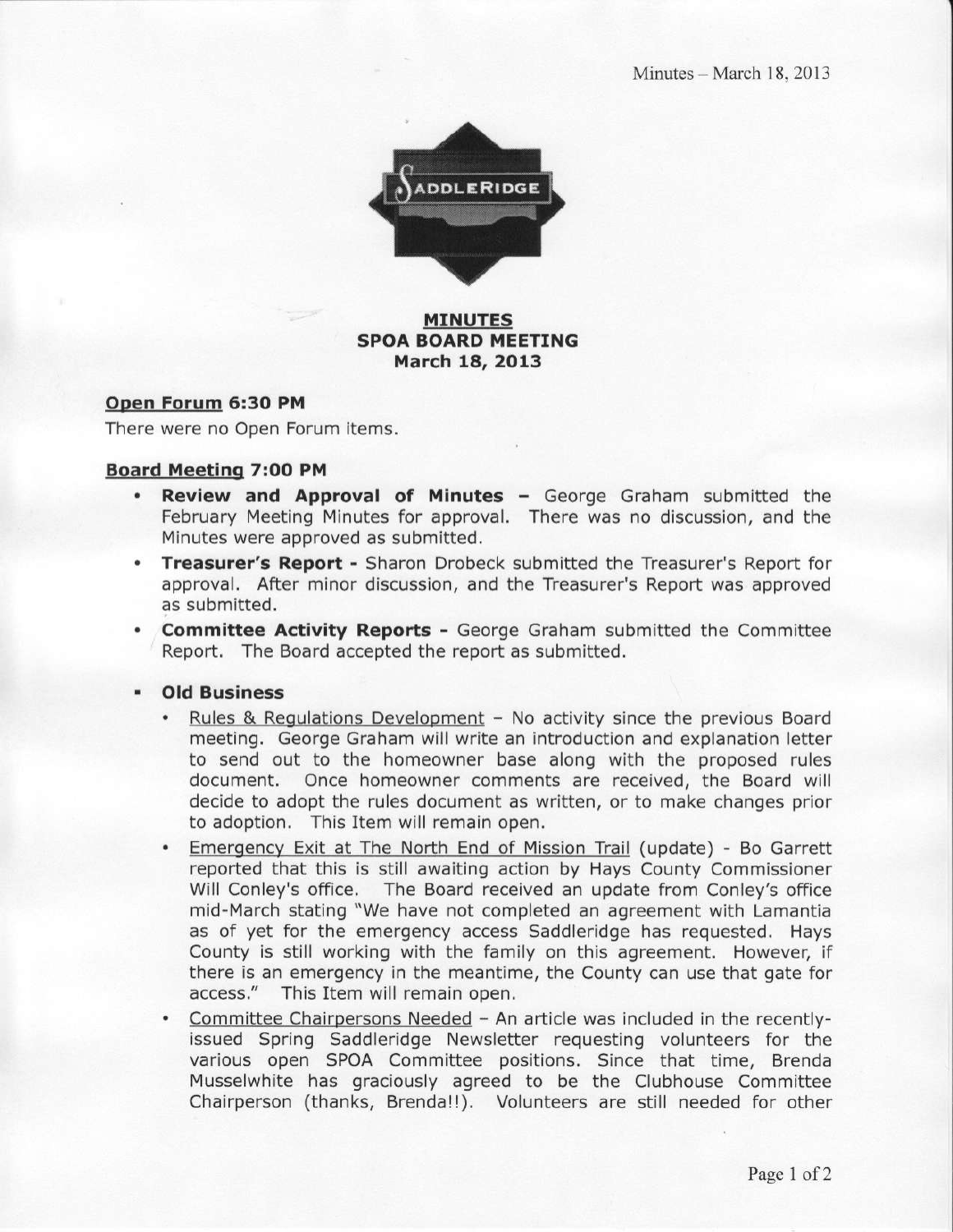

### MINUTES SPOA BOARD MEETING March 18, 2013

#### Open Forum 6:30 PM

There were no Open Forum items.

#### Board Meeting 7:00 PM

- Review and Approval of Minutes George Graham submitted the February Meeting Minutes for approval. There was no discussion, and the Minutes were approved as submitted.
- . Treasurer's Report Sharon Drobeck submitted the Treasurer's Report for approval. After minor discussion, and the Treasurer's Report was approved as submitted.
- **Committee Activity Reports -** George Graham submitted the Committee Report. The Board accepted the report as submitted.

. Old Business

- Rules & Regulations Development No activity since the previous Board meeting. George Graham will write an introduction and explanation letter to send out to the homeowner base along with the proposed rules document. Once homeowner comments are received, the Board will decide to adopt the rules document as written, or to make changes prior to adoption. This ltem will remain open,
- Emergency Exit at The North End of Mission Trail (update) Bo Garrett reported that this is still awaiting action by Hays County Commissioner Will Conley's office. The Board received an update from Conley's office mid-March stating "We have not completed an agreement with Lamantia as of yet for the emergency access Saddleridge has requested, Hays County is still working with the family on this agreement. However, if there is an emergency in the meantime, the County can use that gate for access." This Item will remain open.
- Committee Chairpersons Needed An article was included in the recentlyissued Spring Saddleridge Newsletter requesting volunteers for the various open SPOA Committee positions, Since that time, Brenda Musselwhite has graciously agreed to be the Clubhouse Committee Chairperson (thanks, Brendall). Volunteers are still needed for other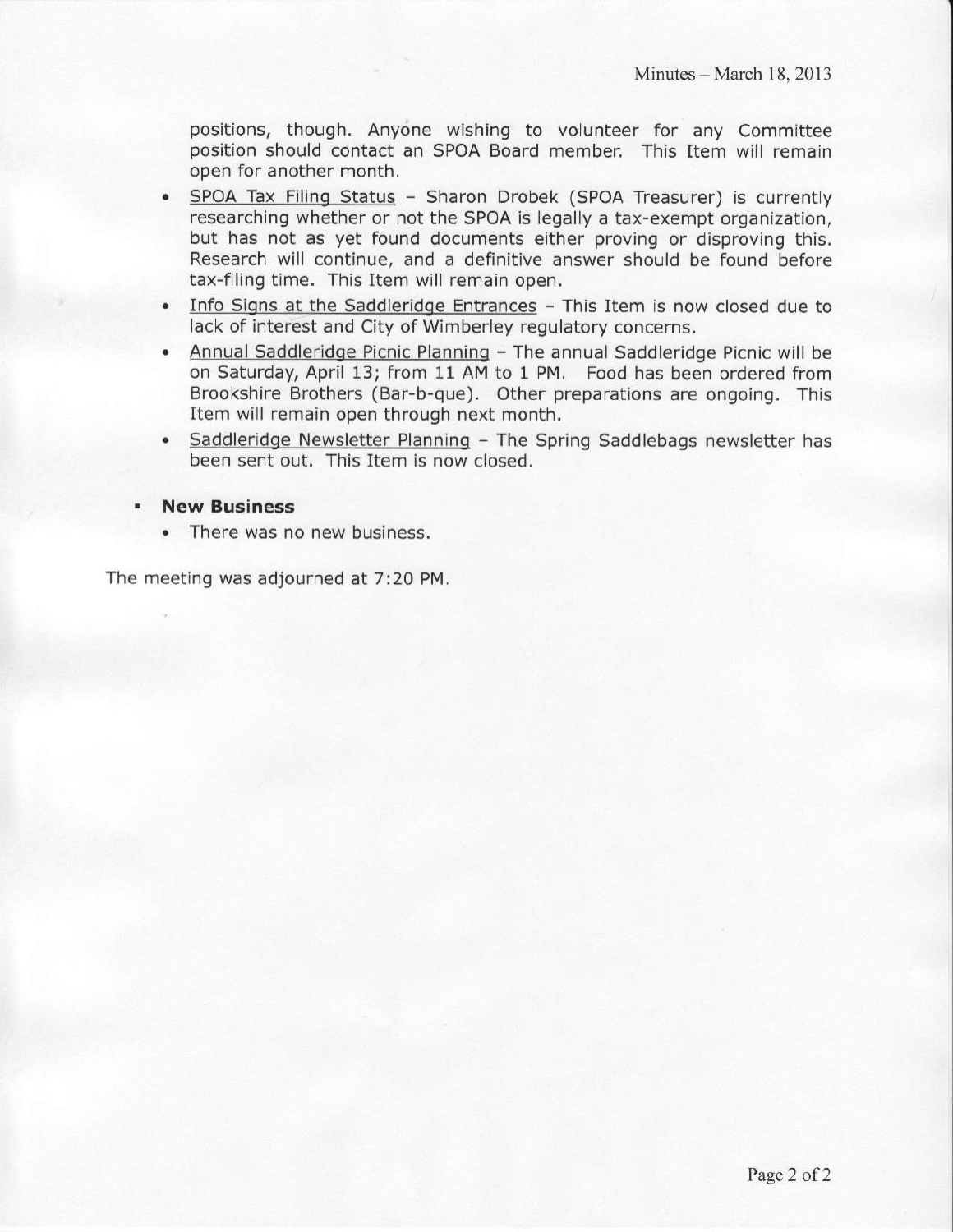positions, though. Anyone wishing to volunteer for any Committee position should contact an SPOA Board member. This Item wlll remain open for another month.

- SPOA Tax Filing Status Sharon Drobek (SPOA Treasurer) is currently researching whether or not the SPOA is legally a tax-exempt organization, but has not as yet found documents either proving or disproving this. Research will continue, and a definitive answer should be found before tax-filing time. This Item will remain open.
- Info Signs at the Saddleridge Entrances This Item is now closed due to lack of interest and City of Wimberley regulatory concerns.
- Annual Saddleridge Picnic Planning The annual Saddleridge Picnic will be on Saturday, April 13; from 11 AM to 1 PM. Food has been ordered from Brookshire Brothers (Bar-b-que). Other preparations are ongoin9, This Item will remain open through next month.
- . Saddleridge Newsletter Planning The Spring Saddlebags newsletter has been sent out. This Item is now closed.

#### New Business

. There was no new business.

The meeting was adjourned at 7:20 PM.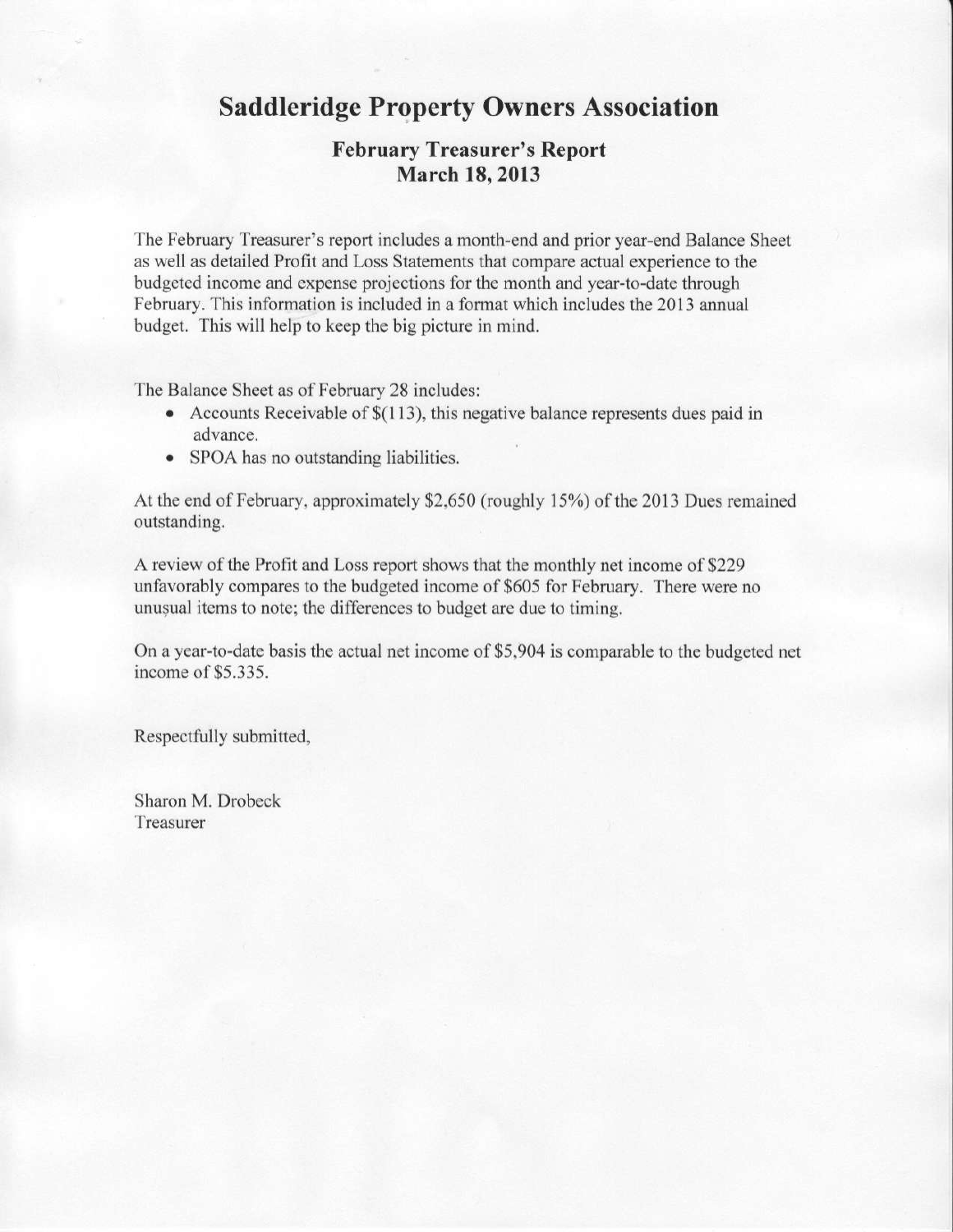# Saddleridge Property Owners Association

## February Treasurer's Report March 18, 2013

The February Treasurer's report includes a month-end and prior year-end Balance Sheet as well as detailed Profit and Loss Statements that compare actual experience to the budgeted income and expense projections for the month and year-to-date through February. This information is included in a format which includes the 2013 annual budget. This will help to keep the big picture in mind.

The Balance Sheet as of February 28 includes:

- Accounts Receivable of  $$(113)$ , this negative balance represents dues paid in advance.
- SPOA has no outstanding liabilities.

At the end of February, approximately \$2,650 (roughly 15%) of the 2013 Dues remained outstanding.

A review of the Profit and Loss report shows that the monthly net income of \$229 unfavorably compares to the budgeted income of \$605 for February. There were no unugual items to note; the differences to budget arc due to timing.

On a year-to-date basis the actual net income of \$5,904 is comparable to the budgeted net income of \$5.335.

Respectfully submitted,

Sharon M. Drobeck **Treasurer**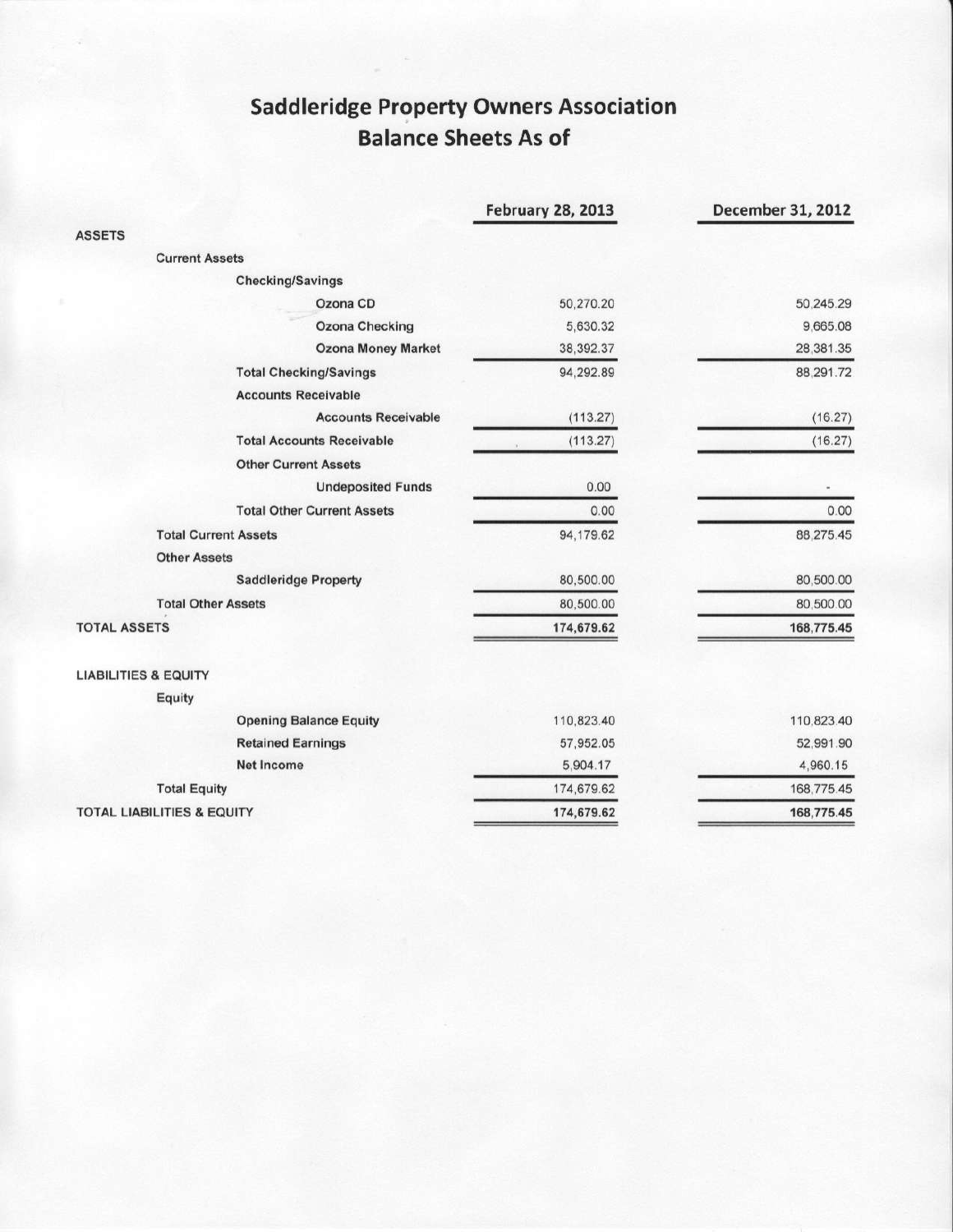# **Saddleridge Property Owners Association Balance Sheets As of**

|                                       | <b>February 28, 2013</b> | December 31, 2012 |
|---------------------------------------|--------------------------|-------------------|
| <b>ASSETS</b>                         |                          |                   |
| <b>Current Assets</b>                 |                          |                   |
| <b>Checking/Savings</b>               |                          |                   |
| Ozona CD                              | 50,270.20                | 50,245.29         |
| <b>Ozona Checking</b>                 | 5,630.32                 | 9,665.08          |
| <b>Ozona Money Market</b>             | 38,392.37                | 28,381.35         |
| <b>Total Checking/Savings</b>         | 94,292.89                | 88,291.72         |
| <b>Accounts Receivable</b>            |                          |                   |
| <b>Accounts Receivable</b>            | (113.27)                 | (16.27)           |
| <b>Total Accounts Receivable</b>      | (113.27)                 | (16.27)           |
| <b>Other Current Assets</b>           |                          |                   |
| <b>Undeposited Funds</b>              | 0.00                     |                   |
| <b>Total Other Current Assets</b>     | 0.00                     | 0.00              |
| <b>Total Current Assets</b>           | 94,179.62                | 88,275.45         |
| <b>Other Assets</b>                   |                          |                   |
| <b>Saddleridge Property</b>           | 80,500.00                | 80,500.00         |
| <b>Total Other Assets</b>             | 80,500.00                | 80,500.00         |
| <b>TOTAL ASSETS</b>                   | 174,679.62               | 168,775.45        |
| <b>LIABILITIES &amp; EQUITY</b>       |                          |                   |
| Equity                                |                          |                   |
| <b>Opening Balance Equity</b>         | 110,823.40               | 110,823.40        |
| <b>Retained Earnings</b>              | 57,952.05                | 52,991.90         |
| Net Income                            | 5,904.17                 | 4,960.15          |
| <b>Total Equity</b>                   | 174,679.62               | 168,775.45        |
| <b>TOTAL LIABILITIES &amp; EQUITY</b> | 174,679.62               | 168,775.45        |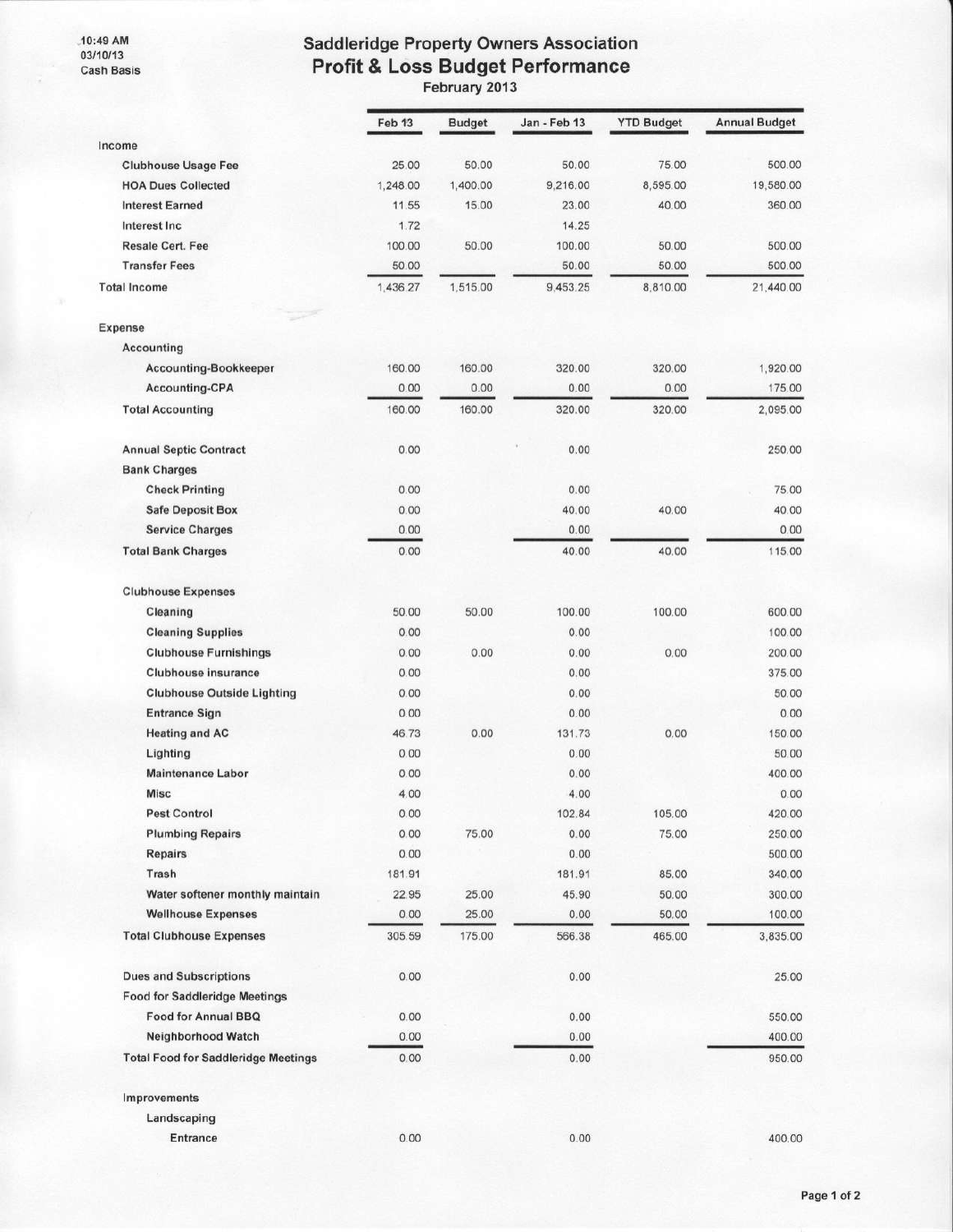.10:49 AM<br>03/10/13<br>Cash Basis

# Saddleridge Property Owners Association<br>Profit & Loss Budget Performance<br>February 2013

|                                            | Feb 13   | <b>Budget</b> | Jan - Feb 13 | <b>YTD Budget</b> | <b>Annual Budget</b> |
|--------------------------------------------|----------|---------------|--------------|-------------------|----------------------|
| Income                                     |          |               |              |                   |                      |
| <b>Clubhouse Usage Fee</b>                 | 25.00    | 50.00         | 50.00        | 75.00             | 500.00               |
| <b>HOA Dues Collected</b>                  | 1,248.00 | 1,400.00      | 9,216.00     | 8,595.00          | 19,580.00            |
| <b>Interest Earned</b>                     | 11.55    | 15.00         | 23.00        | 40.00             | 360.00               |
| Interest Inc.                              | 1.72     |               | 14.25        |                   |                      |
| <b>Resale Cert. Fee</b>                    | 100.00   | 50.00         | 100.00       | 50.00             | 500.00               |
| <b>Transfer Fees</b>                       | 50.00    |               | 50.00        | 50.00             | 500.00               |
| <b>Total Income</b>                        | 1.436.27 | 1,515.00      | 9,453.25     | 8,810.00          | 21,440.00            |
| Expense                                    |          |               |              |                   |                      |
| Accounting                                 |          |               |              |                   |                      |
| Accounting-Bookkeeper                      | 160.00   | 160.00        | 320.00       | 320.00            | 1,920.00             |
| Accounting-CPA                             | 0.00     | 0.00          | 0.00         | 0.00              | 175.00               |
| <b>Total Accounting</b>                    | 160.00   | 160.00        | 320.00       | 320.00            | 2,095.00             |
| <b>Annual Septic Contract</b>              | 0.00     |               | 0.00         |                   | 250,00               |
| <b>Bank Charges</b>                        |          |               |              |                   |                      |
| <b>Check Printing</b>                      | 0.00     |               | 0.00         |                   | 75.00                |
| <b>Safe Deposit Box</b>                    | 0.00     |               | 40.00        | 40.00             | 40.00                |
| <b>Service Charges</b>                     | 0.00     |               | 0.00         |                   | 0.00                 |
| <b>Total Bank Charges</b>                  | 0.00     |               | 40.00        | 40.00             | 115.00               |
| <b>Clubhouse Expenses</b>                  |          |               |              |                   |                      |
| Cleaning                                   | 50.00    | 50.00         | 100.00       | 100.00            | 600.00               |
| <b>Cleaning Supplies</b>                   | 0.00     |               | 0.00         |                   | 100.00               |
| <b>Clubhouse Furnishings</b>               | 0.00     | 0.00          | 0.00         | 0.00              | 200.00               |
| Clubhouse insurance                        | 0.00     |               | 0.00         |                   | 375.00               |
| <b>Clubhouse Outside Lighting</b>          | 0.00     |               | 0.00         |                   | 50.00                |
| <b>Entrance Sign</b>                       | 0.00     |               | 0.00         |                   | 0.00                 |
| <b>Heating and AC</b>                      | 46.73    | 0.00          | 131.73       | 0.00              | 150.00               |
| Lighting                                   | 0.00     |               | 0.00         |                   | 50.00                |
| <b>Maintenance Labor</b>                   | 0.00     |               | 0.00         |                   | 400.00               |
| <b>Misc</b>                                | 4.00     |               | 4.00         |                   | 0.00                 |
| <b>Pest Control</b>                        | 0.00     |               | 102.84       | 105.00            | 420.00               |
| <b>Plumbing Repairs</b>                    | 0.00     | 75.00         | 0.00         | 75.00             | 250.00               |
| Repairs                                    | 0.00     |               | 0.00         |                   | 500.00               |
| Trash                                      | 181.91   |               | 181.91       | 85.00             | 340.00               |
| Water softener monthly maintain            | 22.95    | 25.00         | 45.90        | 50.00             | 300.00               |
| <b>Wellhouse Expenses</b>                  | 0.00     | 25.00         | 0.00         | 50.00             | 100.00               |
| <b>Total Clubhouse Expenses</b>            | 305.59   | 175.00        | 566.38       | 465.00            | 3,835.00             |
| <b>Dues and Subscriptions</b>              | 0.00     |               | 0.00         |                   | 25.00                |
| <b>Food for Saddleridge Meetings</b>       |          |               |              |                   |                      |
| Food for Annual BBQ                        | 0.00     |               | 0.00         |                   | 550.00               |
| Neighborhood Watch                         | 0.00     |               | 0.00         |                   | 400.00               |
| <b>Total Food for Saddleridge Meetings</b> | 0.00     |               | 0.00         |                   | 950.00               |
| Improvements                               |          |               |              |                   |                      |
| Landscaping                                |          |               |              |                   |                      |
| Entrance                                   | 0.00     |               | 0.00         |                   | 400.00               |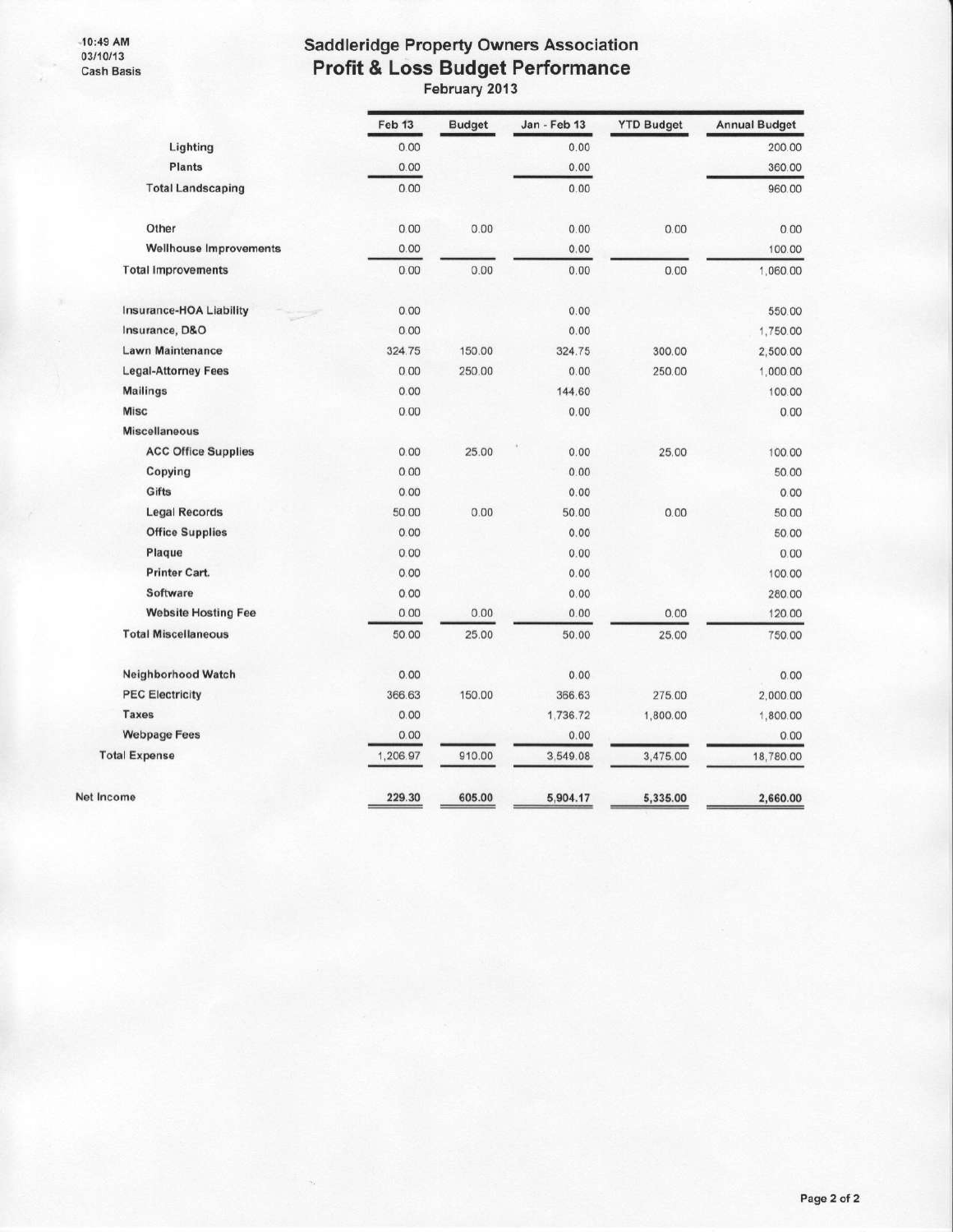-10:49 AM<br>03/10/13 **Cash Basis** 

# **Saddleridge Property Owners Association** Profit & Loss Budget Performance

|                                | Feb 13   | <b>Budget</b> | Jan - Feb 13 | <b>YTD Budget</b> | <b>Annual Budget</b> |
|--------------------------------|----------|---------------|--------------|-------------------|----------------------|
| Lighting                       | 0.00     |               | 0.00         |                   | 200.00               |
| <b>Plants</b>                  | 0.00     |               | 0.00         |                   | 360.00               |
| <b>Total Landscaping</b>       | 0.00     |               | 0.00         |                   | 960.00               |
| Other                          | 0.00     | 0.00          | 0.00         | 0.00              | 0.00                 |
| <b>Wellhouse Improvements</b>  | 0.00     |               | 0.00         |                   | 100.00               |
| <b>Total Improvements</b>      | 0.00     | 0.00          | 0.00         | 0.00              | 1,060.00             |
| <b>Insurance-HOA Liability</b> | 0.00     |               | 0.00         |                   | 550.00               |
| Insurance, D&O                 | 0.00     |               | 0.00         |                   | 1,750.00             |
| Lawn Maintenance               | 324.75   | 150.00        | 324.75       | 300.00            | 2,500.00             |
| <b>Legal-Attorney Fees</b>     | 0.00     | 250.00        | 0.00         | 250.00            | 1,000.00             |
| <b>Mailings</b>                | 0.00     |               | 144.60       |                   | 100.00               |
| <b>Misc</b>                    | 0.00     |               | 0.00         |                   | 0.00                 |
| <b>Miscellaneous</b>           |          |               |              |                   |                      |
| <b>ACC Office Supplies</b>     | 0.00     | 25.00         | 0.00         | 25.00             | 100.00               |
| Copying                        | 0.00     |               | 0.00         |                   | 50.00                |
| Gifts                          | 0.00     |               | 0.00         |                   | 0.00                 |
| <b>Legal Records</b>           | 50.00    | 0.00          | 50.00        | 0.00              | 50.00                |
| <b>Office Supplies</b>         | 0.00     |               | 0.00         |                   | 50.00                |
| Plaque                         | 0.00     |               | 0.00         |                   | 0.00                 |
| Printer Cart.                  | 0.00     |               | 0.00         |                   | 100.00               |
| Software                       | 0.00     |               | 0.00         |                   | 280.00               |
| <b>Website Hosting Fee</b>     | 0.00     | 0.00          | 0.00         | 0.00              | 120.00               |
| <b>Total Miscellaneous</b>     | 50.00    | 25.00         | 50.00        | 25.00             | 750.00               |
| Neighborhood Watch             | 0.00     |               | 0.00         |                   | 0.00                 |
| <b>PEC Electricity</b>         | 366.63   | 150.00        | 366.63       | 275.00            | 2,000.00             |
| Taxes                          | 0.00     |               | 1,736.72     | 1,800.00          | 1,800.00             |
| <b>Webpage Fees</b>            | 0.00     |               | 0.00         |                   | 0.00                 |
| <b>Total Expense</b>           | 1,206.97 | 910.00        | 3,549.08     | 3,475.00          | 18,780.00            |
| Net Income                     | 229.30   | 605.00        | 5,904.17     | 5,335.00          | 2,660.00             |